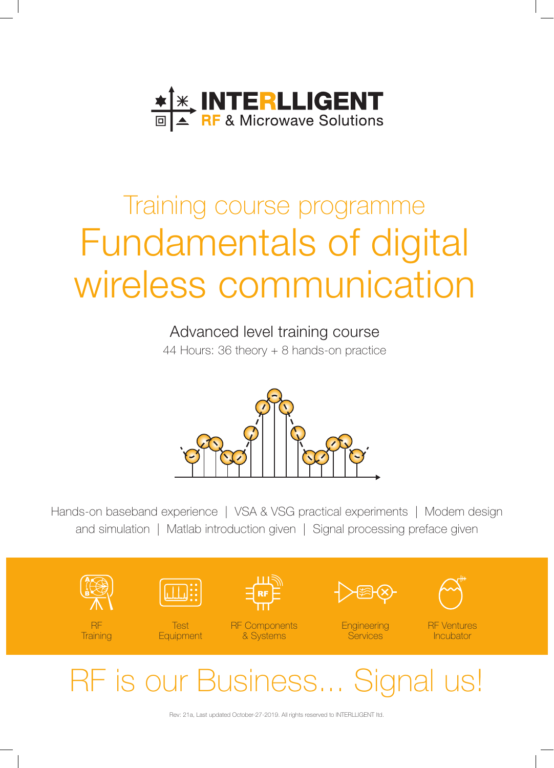

# Training course programme Fundamentals of digital wireless communication

## Advanced level training course

44 Hours: 36 theory + 8 hands-on practice



Hands-on baseband experience | VSA & VSG practical experiments | Modem design and simulation | Matlab introduction given | Signal processing preface given



RF is our Business... Signal us!

Rev: 21a, Last updated October-27-2019. All rights reserved to INTERLLIGENT ltd.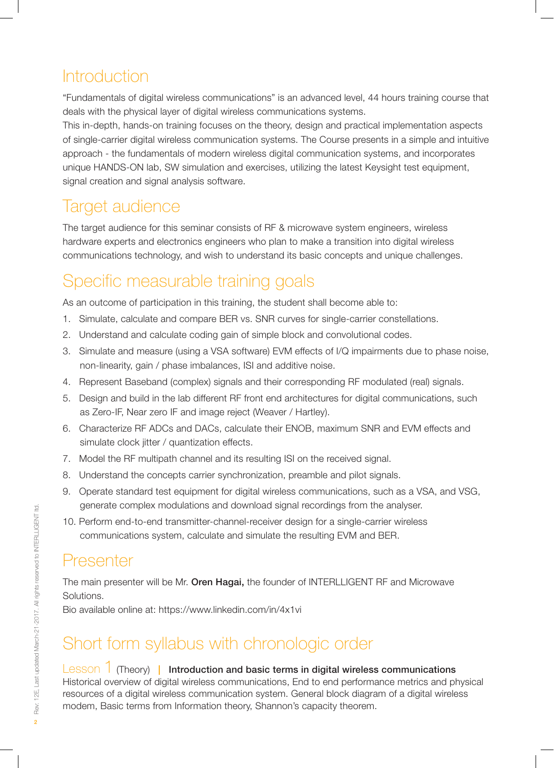# **Introduction**

"Fundamentals of digital wireless communications" is an advanced level, 44 hours training course that deals with the physical layer of digital wireless communications systems.

This in-depth, hands-on training focuses on the theory, design and practical implementation aspects of single-carrier digital wireless communication systems. The Course presents in a simple and intuitive approach - the fundamentals of modern wireless digital communication systems, and incorporates unique HANDS-ON lab, SW simulation and exercises, utilizing the latest Keysight test equipment, signal creation and signal analysis software.

## Target audience

The target audience for this seminar consists of RF & microwave system engineers, wireless hardware experts and electronics engineers who plan to make a transition into digital wireless communications technology, and wish to understand its basic concepts and unique challenges.

# Specific measurable training goals

As an outcome of participation in this training, the student shall become able to:

- 1. Simulate, calculate and compare BER vs. SNR curves for single-carrier constellations.
- 2. Understand and calculate coding gain of simple block and convolutional codes.
- 3. Simulate and measure (using a VSA software) EVM effects of I/Q impairments due to phase noise, non-linearity, gain / phase imbalances, ISI and additive noise.
- 4. Represent Baseband (complex) signals and their corresponding RF modulated (real) signals.
- 5. Design and build in the lab different RF front end architectures for digital communications, such as Zero-IF, Near zero IF and image reject (Weaver / Hartley).
- 6. Characterize RF ADCs and DACs, calculate their ENOB, maximum SNR and EVM effects and simulate clock jitter / quantization effects.
- 7. Model the RF multipath channel and its resulting ISI on the received signal.
- 8. Understand the concepts carrier synchronization, preamble and pilot signals.
- 9. Operate standard test equipment for digital wireless communications, such as a VSA, and VSG, generate complex modulations and download signal recordings from the analyser.
- 10. Perform end-to-end transmitter-channel-receiver design for a single-carrier wireless communications system, calculate and simulate the resulting EVM and BER.

# Presenter

The main presenter will be Mr. Oren Hagai, the founder of INTERLLIGENT RF and Microwave Solutions.

Bio available online at: https://www.linkedin.com/in/4x1vi

# Short form syllabus with chronologic order

## Lesson  $\hat{1}$  (Theory) | Introduction and basic terms in digital wireless communications

Historical overview of digital wireless communications, End to end performance metrics and physical resources of a digital wireless communication system. General block diagram of a digital wireless modem, Basic terms from Information theory, Shannon's capacity theorem.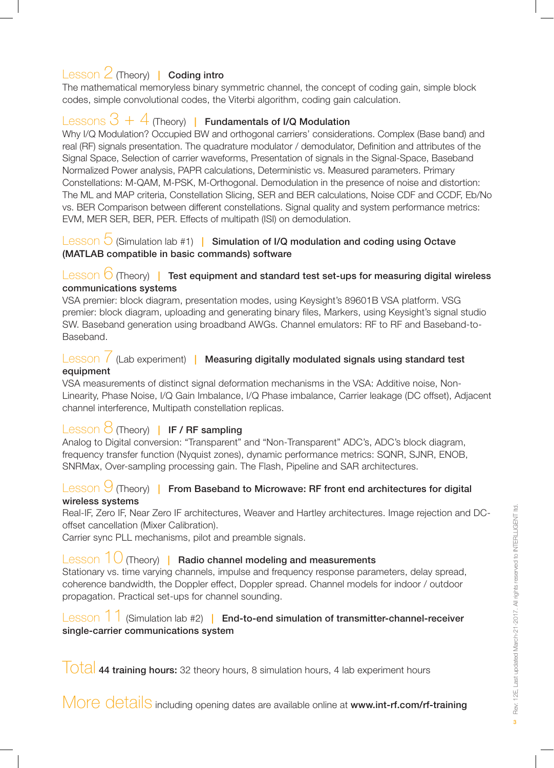## Lesson 2 (Theory) | Coding intro

The mathematical memoryless binary symmetric channel, the concept of coding gain, simple block codes, simple convolutional codes, the Viterbi algorithm, coding gain calculation.

## Lessons  $3 + 4$  (Theory) | Fundamentals of I/Q Modulation

Why I/Q Modulation? Occupied BW and orthogonal carriers' considerations. Complex (Base band) and real (RF) signals presentation. The quadrature modulator / demodulator, Definition and attributes of the Signal Space, Selection of carrier waveforms, Presentation of signals in the Signal-Space, Baseband Normalized Power analysis, PAPR calculations, Deterministic vs. Measured parameters. Primary Constellations: M-QAM, M-PSK, M-Orthogonal. Demodulation in the presence of noise and distortion: The ML and MAP criteria, Constellation Slicing, SER and BER calculations, Noise CDF and CCDF, Eb/No vs. BER Comparison between different constellations. Signal quality and system performance metrics: EVM, MER SER, BER, PER. Effects of multipath (ISI) on demodulation.

#### Lesson  $\bigcirc$  (Simulation lab #1) | Simulation of I/Q modulation and coding using Octave (MATLAB compatible in basic commands) software

## Lesson  $6$  (Theory) | Test equipment and standard test set-ups for measuring digital wireless communications systems

VSA premier: block diagram, presentation modes, using Keysight's 89601B VSA platform. VSG premier: block diagram, uploading and generating binary files, Markers, using Keysight's signal studio SW. Baseband generation using broadband AWGs. Channel emulators: RF to RF and Baseband-to-Baseband.

## Lesson / (Lab experiment) | Measuring digitally modulated signals using standard test equipment

VSA measurements of distinct signal deformation mechanisms in the VSA: Additive noise, Non-Linearity, Phase Noise, I/Q Gain Imbalance, I/Q Phase imbalance, Carrier leakage (DC offset), Adjacent channel interference, Multipath constellation replicas.

## Lesson  $\frac{3}{2}$  (Theory) | IF / RF sampling

Analog to Digital conversion: "Transparent" and "Non-Transparent" ADC's, ADC's block diagram, frequency transfer function (Nyquist zones), dynamic performance metrics: SQNR, SJNR, ENOB, SNRMax, Over-sampling processing gain. The Flash, Pipeline and SAR architectures.

#### Lesson  $\bigcup$  (Theory) | From Baseband to Microwave: RF front end architectures for digital wireless systems

Real-IF, Zero IF, Near Zero IF architectures, Weaver and Hartley architectures. Image rejection and DCoffset cancellation (Mixer Calibration).

Carrier sync PLL mechanisms, pilot and preamble signals.

## Lesson  $10$  (Theory) | Radio channel modeling and measurements

Stationary vs. time varying channels, impulse and frequency response parameters, delay spread, coherence bandwidth, the Doppler effect, Doppler spread. Channel models for indoor / outdoor propagation. Practical set-ups for channel sounding.

## Lesson 11 (Simulation lab #2) | End-to-end simulation of transmitter-channel-receiver single-carrier communications system

 $\vert$  Otal 44 training hours: 32 theory hours, 8 simulation hours, 4 lab experiment hours

More details including opening dates are available online at www.int-rf.com/rf-training